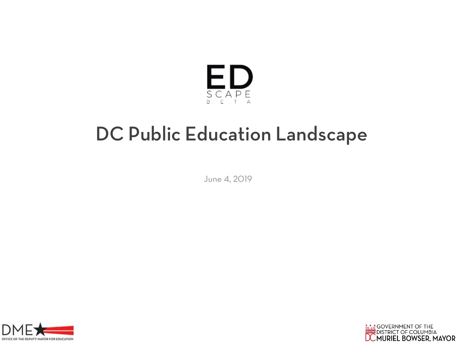

# DC Public Education Landscape

June 4, 2019



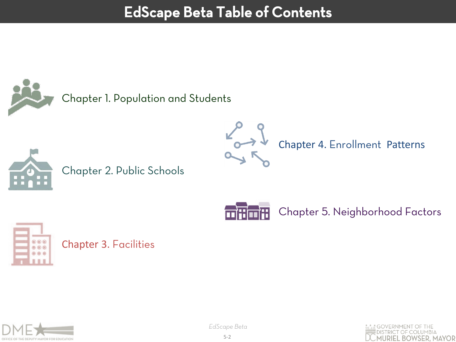# EdScape Beta Table of Contents

Chapter 1. Population and Students





Chapter 2. Public Schools



Chapter 5. Neighborhood Factors



Chapter 3. Facilities



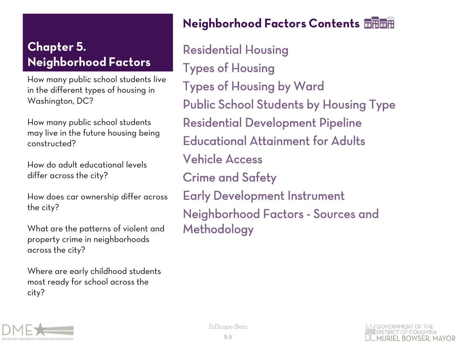How many public school students live in the different types of housing in Washington, DC?

How many public school students may live in the future housing being constructed?

How do adult educational levels differ across the city?

How does car ownership differ across the city?

What are the patterns of violent and property crime in neighborhoods across the city?

Where are early childhood students most ready for school across the city?

# Neighborhood Factors Contents

Residential Housing Types of Housing Types of Housing by Ward Public School Students by Housing Type Residential Development Pipeline Educational Attainment for Adults Vehicle Access Crime and Safety Early Development Instrument Neighborhood Factors - Sources and Methodology



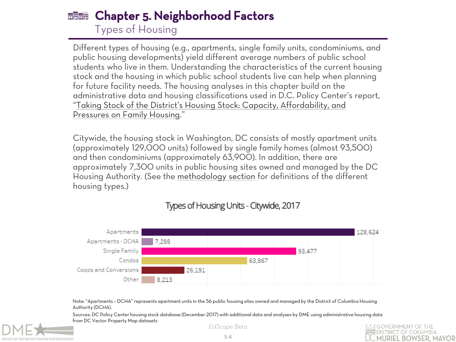### Chapter 5. Neighborhood Factors Types of Housing

Different types of housing (e.g., apartments, single family units, condominiums, and public housing developments) yield different average numbers of public school students who live in them. Understanding the characteristics of the current housing stock and the housing in which public school students live can help when planning for future facility needs. The housing analyses in this chapter build on the administrative data and housing classifications used in D.C. Policy Center's report, ["Taking Stock of the District's Housing Stock: Capacity, Affordability, and](https://www.dcpolicycenter.org/publications/taking-stock/)  [Pressures on Family Housing](https://www.dcpolicycenter.org/publications/taking-stock/)."

Citywide, the housing stock in Washington, DC consists of mostly apartment units (approximately 129,000 units) followed by single family homes (almost 93,500) and then condominiums (approximately 63,900). In addition, there are approximately 7,300 units in public housing sites owned and managed by the DC Housing Authority. (See the [methodology section](https://edscape.dc.gov/node/1363596) for definitions of the different housing types.)



### Types of Housing Units - Citywide, 2017

Note: "Apartments – DCHA" represents apartment units in the 56 public housing sites owned and managed by the District of Columbia Housing Authority (DCHA).

Sources: DC Policy Center housing stock database (December 2017) with additional data and analyses by DME using administrative housing data from DC Vector Property Map datasets



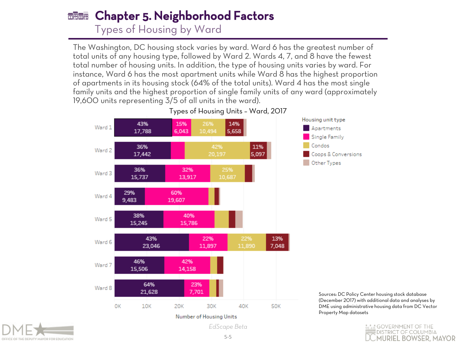#### Chapter 5. Neighborhood Factors Types of Housing by Ward

The Washington, DC housing stock varies by ward. Ward 6 has the greatest number of total units of any housing type, followed by Ward 2. Wards 4, 7, and 8 have the fewest total number of housing units. In addition, the type of housing units varies by ward. For instance, Ward 6 has the most apartment units while Ward 8 has the highest proportion of apartments in its housing stock (64% of the total units). Ward 4 has the most single family units and the highest proportion of single family units of any ward (approximately 19,600 units representing 3/5 of all units in the ward).





Sources: DC Policy Center housing stock database (December 2017) with additional data and analyses by DME using administrative housing data from DC Vector Property Map datasets



Number of Housing Units

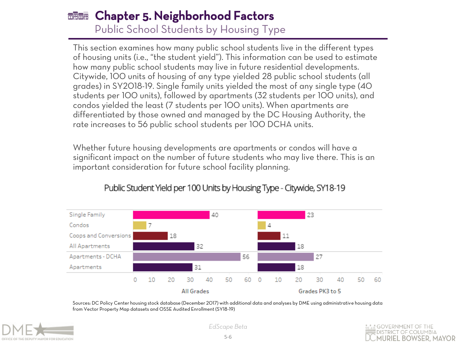#### Chapter 5. Neighborhood Factors Public School Students by Housing Type

This section examines how many public school students live in the different types of housing units (i.e., "the student yield"). This information can be used to estimate how many public school students may live in future residential developments. Citywide, 100 units of housing of any type yielded 28 public school students (all grades) in SY2018-19. Single family units yielded the most of any single type (40 students per 100 units), followed by apartments (32 students per 100 units), and condos yielded the least (7 students per 100 units). When apartments are differentiated by those owned and managed by the DC Housing Authority, the rate increases to 56 public school students per 100 DCHA units.

Whether future housing developments are apartments or condos will have a significant impact on the number of future students who may live there. This is an important consideration for future school facility planning.



### Public Student Yield per 100 Units by Housing Type - Citywide, SY18-19

Sources: DC Policy Center housing stock database (December 2017) with additional data and analyses by DME using administrative housing data from Vector Property Map datasets and OSSE Audited Enrollment (SY18-19)



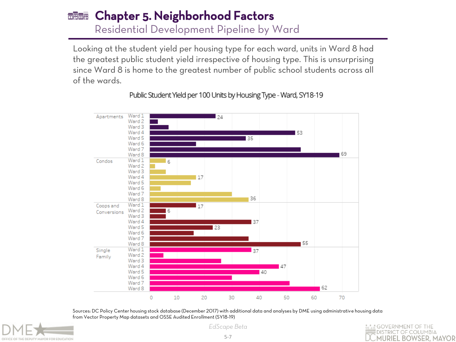#### Chapter 5. Neighborhood Factors Residential Development Pipeline by Ward

Looking at the student yield per housing type for each ward, units in Ward 8 had the greatest public student yield irrespective of housing type. This is unsurprising since Ward 8 is home to the greatest number of public school students across all of the wards.



Public Student Yield per 100 Units by Housing Type - Ward, SY18-19

Sources: DC Policy Center housing stock database (December 2017) with additional data and analyses by DME using administrative housing data from Vector Property Map datasets and OSSE Audited Enrollment (SY18-19)



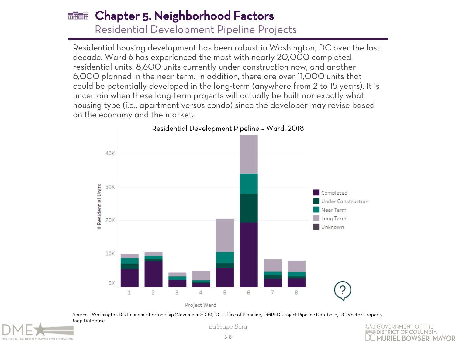### Chapter 5. Neighborhood Factors  $\overline{m}$  and  $\overline{m}$

Residential Development Pipeline Projects

Residential housing development has been robust in Washington, DC over the last decade. Ward 6 has experienced the most with nearly 20,000 completed residential units, 8,600 units currently under construction now, and another 6,000 planned in the near term. In addition, there are over 11,000 units that could be potentially developed in the long-term (anywhere from 2 to 15 years). It is uncertain when these long-term projects will actually be built nor exactly what housing type (i.e., apartment versus condo) since the developer may revise based on the economy and the market.



Sources: Washington DC Economic Partnership (November 2018), DC Office of Planning, DMPED Project Pipeline Database, DC Vector Property



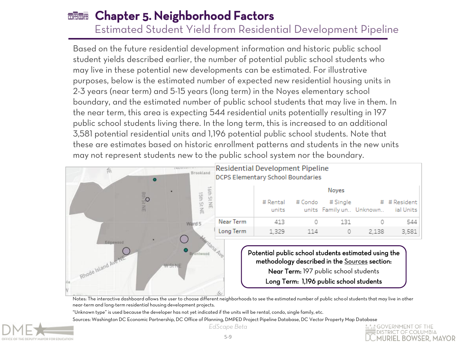Estimated Student Yield from Residential Development Pipeline

Based on the future residential development information and historic public school student yields described earlier, the number of potential public school students who may live in these potential new developments can be estimated. For illustrative purposes, below is the estimated number of expected new residential housing units in 2-3 years (near term) and 5-15 years (long term) in the Noyes elementary school boundary, and the estimated number of public school students that may live in them. In the near term, this area is expecting 544 residential units potentially resulting in 197 public school students living there. In the long term, this is increased to an additional 3,581 potential residential units and 1,196 potential public school students. Note that these are estimates based on historic enrollment patterns and students in the new units may not represent students new to the public school system nor the boundary.



Notes: The interactive dashboard allows the user to choose different neighborhoods to see the estimated number of public school students that may live in other near-term and long-term residential housing development projects.

"Unknown type" is used because the developer has not yet indicated if the units will be rental, condo, single family, etc. Sources: Washington DC Economic Partnership, DC Office of Planning, DMPED Project Pipeline Database, DC Vector Property Map Database



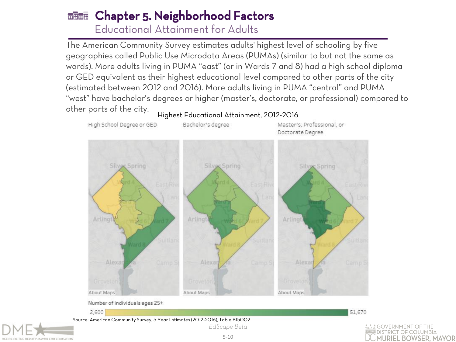#### Chapter 5. Neighborhood Factors Educational Attainment for Adults

The American Community Survey estimates adults' highest level of schooling by five geographies called Public Use Microdata Areas (PUMAs) (similar to but not the same as wards). More adults living in PUMA "east" (or in Wards 7 and 8) had a high school diploma or GED equivalent as their highest educational level compared to other parts of the city (estimated between 2012 and 2016). More adults living in PUMA "central" and PUMA "west" have bachelor's degrees or higher (master's, doctorate, or professional) compared to other parts of the city.





2,600

DEPUTY MAYOR FOR EDUCATION

*EdScape Beta* Source: American Community Survey, 5 Year Estimates (2012-2016), Table B15002

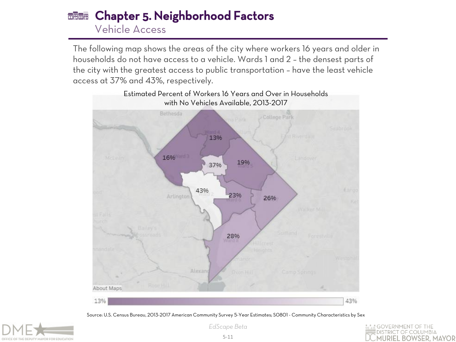#### Chapter 5. Neighborhood Factors निसनिए Vehicle Access

The following map shows the areas of the city where workers 16 years and older in households do not have access to a vehicle. Wards 1 and 2 – the densest parts of the city with the greatest access to public transportation – have the least vehicle access at 37% and 43%, respectively.



Source: U.S. Census Bureau, 2013-2017 American Community Survey 5-Year Estimates; S0801 - Community Characteristics by Sex



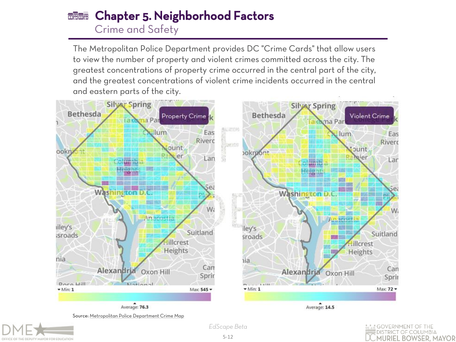#### Chapter 5. Neighborhood Factors निसनिए Crime and Safety

The Metropolitan Police Department provides DC "Crime Cards" that allow users to view the number of property and violent crimes committed across the city. The greatest concentrations of property crime occurred in the central part of the city, and the greatest concentrations of violent crime incidents occurred in the central and eastern parts of the city.



Source: [Metropolitan](https://dcatlas.dcgis.dc.gov/crimecards/) [Police Department](https://dcatlas.dcgis.dc.gov/crimecards/) [Crime Map](https://dcatlas.dcgis.dc.gov/crimecards/)



*EdScape Beta*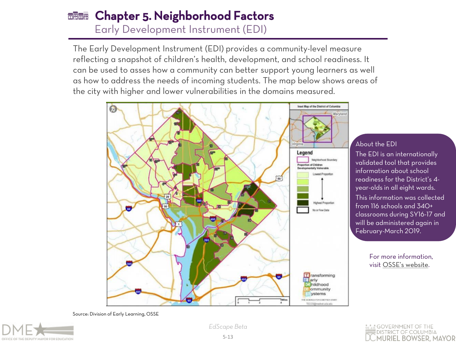#### Chapter 5. Neighborhood Factors निसनिए Early Development Instrument (EDI)

The Early Development Instrument (EDI) provides a community-level measure reflecting a snapshot of children's health, development, and school readiness. It can be used to asses how a community can better support young learners as well as how to address the needs of incoming students. The map below shows areas of the city with higher and lower vulnerabilities in the domains measured.



#### About the EDI

The EDI is an internationally validated tool that provides information about school readiness for the District's 4 year-olds in all eight wards. This information was collected from 116 schools and 340+ classrooms during SY16-17 and will be administered again in February-March 2019.

> For more information, visit [OSSE's website](https://osse.dc.gov/sites/default/files/dc/sites/osse/documents/EDI Interest Webinar.pdf).

Source: Division of Early Learning, OSSE



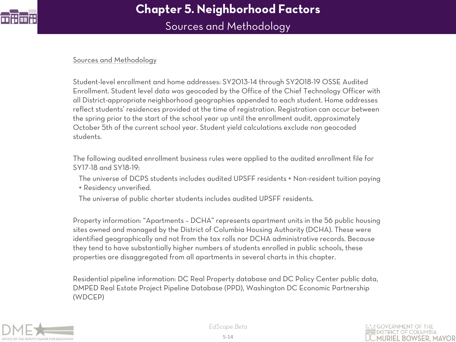

Sources and Methodology

#### Sources and Methodology

Student-level enrollment and home addresses: SY2013-14 through SY2018-19 OSSE Audited Enrollment. Student level data was geocoded by the Office of the Chief Technology Officer with all District-appropriate neighborhood geographies appended to each student. Home addresses reflect students' residences provided at the time of registration. Registration can occur between the spring prior to the start of the school year up until the enrollment audit, approximately October 5th of the current school year. Student yield calculations exclude non geocoded students.

The following audited enrollment business rules were applied to the audited enrollment file for SY17-18 and SY18-19:

- The universe of DCPS students includes audited UPSFF residents + Non-resident tuition paying + Residency unverified.
- The universe of public charter students includes audited UPSFF residents.

Property information: "Apartments – DCHA" represents apartment units in the 56 public housing sites owned and managed by the District of Columbia Housing Authority (DCHA). These were identified geographically and not from the tax rolls nor DCHA administrative records. Because they tend to have substantially higher numbers of students enrolled in public schools, these properties are disaggregated from all apartments in several charts in this chapter.

Residential pipeline information: DC Real Property database and DC Policy Center public data, DMPED Real Estate Project Pipeline Database (PPD), Washington DC Economic Partnership (WDCEP)

<span id="page-13-0"></span>

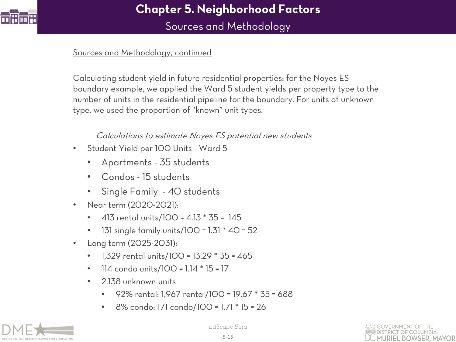

Sources and Methodology

### Sources and Methodology, continued

Calculating student yield in future residential properties: for the Noyes ES boundary example, we applied the Ward 5 student yields per property type to the number of units in the residential pipeline for the boundary. For units of unknown type, we used the proportion of "known" unit types.

### Calculations to estimate Noyes ES potential new students

- Student Yield per 100 Units Ward 5
	- Apartments 35 students
	- Condos 15 students
	- Single Family 40 students
- Near term (2020-2021):
	- 413 rental units/100 = 4.13 \* 35 = 145
	- 131 single family units/100 =  $1.31 * 40 = 52$
- Long term (2025-2031):
	- 1,329 rental units/100 = 13.29 \* 35 = 465
	- 114 condo units/100 = 1.14 \* 15 = 17
	- 2,138 unknown units
		- 92% rental: 1,967 rental/100 = 19.67 \* 35 = 688
		- 8% condo: 171 condo/100 = 1.71 \* 15 = 26